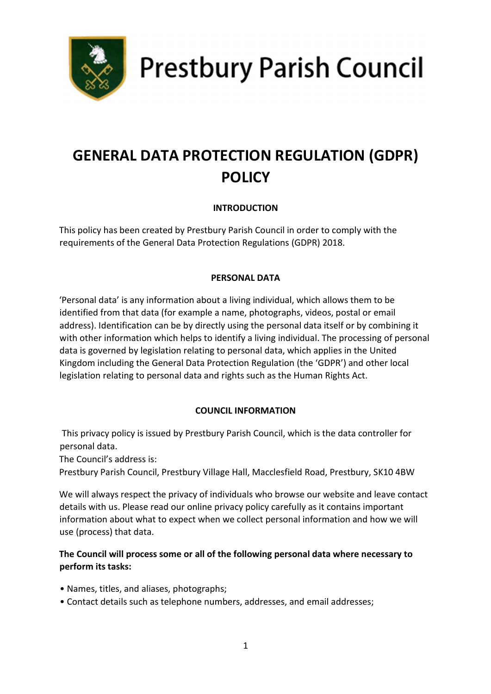

**Prestbury Parish Council** 

# GENERAL DATA PROTECTION REGULATION (GDPR) POLICY

## INTRODUCTION

This policy has been created by Prestbury Parish Council in order to comply with the requirements of the General Data Protection Regulations (GDPR) 2018.

## PERSONAL DATA

'Personal data' is any information about a living individual, which allows them to be identified from that data (for example a name, photographs, videos, postal or email address). Identification can be by directly using the personal data itself or by combining it with other information which helps to identify a living individual. The processing of personal data is governed by legislation relating to personal data, which applies in the United Kingdom including the General Data Protection Regulation (the 'GDPR') and other local legislation relating to personal data and rights such as the Human Rights Act.

#### COUNCIL INFORMATION

 This privacy policy is issued by Prestbury Parish Council, which is the data controller for personal data.

The Council's address is:

Prestbury Parish Council, Prestbury Village Hall, Macclesfield Road, Prestbury, SK10 4BW

We will always respect the privacy of individuals who browse our website and leave contact details with us. Please read our online privacy policy carefully as it contains important information about what to expect when we collect personal information and how we will use (process) that data.

## The Council will process some or all of the following personal data where necessary to perform its tasks:

- Names, titles, and aliases, photographs;
- Contact details such as telephone numbers, addresses, and email addresses;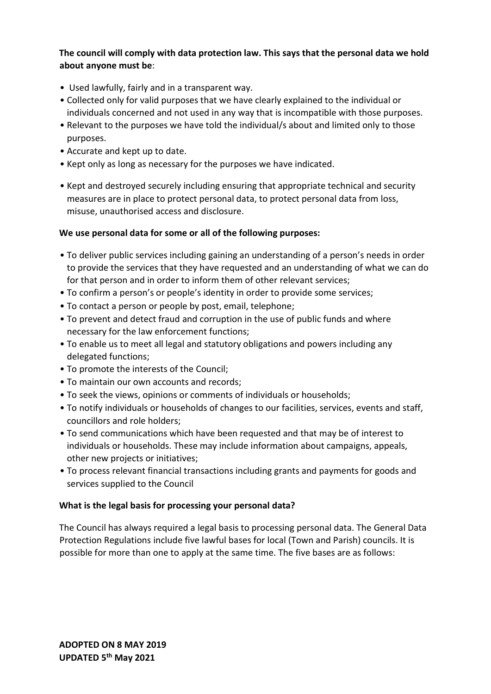## The council will comply with data protection law. This says that the personal data we hold about anyone must be:

- Used lawfully, fairly and in a transparent way.
- Collected only for valid purposes that we have clearly explained to the individual or individuals concerned and not used in any way that is incompatible with those purposes.
- Relevant to the purposes we have told the individual/s about and limited only to those purposes.
- Accurate and kept up to date.
- Kept only as long as necessary for the purposes we have indicated.
- Kept and destroyed securely including ensuring that appropriate technical and security measures are in place to protect personal data, to protect personal data from loss, misuse, unauthorised access and disclosure.

#### We use personal data for some or all of the following purposes:

- To deliver public services including gaining an understanding of a person's needs in order to provide the services that they have requested and an understanding of what we can do for that person and in order to inform them of other relevant services;
- To confirm a person's or people's identity in order to provide some services;
- To contact a person or people by post, email, telephone;
- To prevent and detect fraud and corruption in the use of public funds and where necessary for the law enforcement functions;
- To enable us to meet all legal and statutory obligations and powers including any delegated functions;
- To promote the interests of the Council;
- To maintain our own accounts and records;
- To seek the views, opinions or comments of individuals or households;
- To notify individuals or households of changes to our facilities, services, events and staff, councillors and role holders;
- To send communications which have been requested and that may be of interest to individuals or households. These may include information about campaigns, appeals, other new projects or initiatives;
- To process relevant financial transactions including grants and payments for goods and services supplied to the Council

#### What is the legal basis for processing your personal data?

The Council has always required a legal basis to processing personal data. The General Data Protection Regulations include five lawful bases for local (Town and Parish) councils. It is possible for more than one to apply at the same time. The five bases are as follows: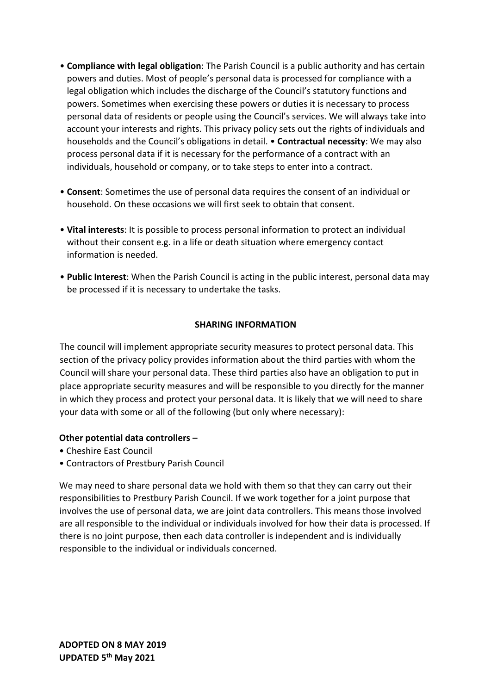- Compliance with legal obligation: The Parish Council is a public authority and has certain powers and duties. Most of people's personal data is processed for compliance with a legal obligation which includes the discharge of the Council's statutory functions and powers. Sometimes when exercising these powers or duties it is necessary to process personal data of residents or people using the Council's services. We will always take into account your interests and rights. This privacy policy sets out the rights of individuals and households and the Council's obligations in detail. • Contractual necessity: We may also process personal data if it is necessary for the performance of a contract with an individuals, household or company, or to take steps to enter into a contract.
- Consent: Sometimes the use of personal data requires the consent of an individual or household. On these occasions we will first seek to obtain that consent.
- Vital interests: It is possible to process personal information to protect an individual without their consent e.g. in a life or death situation where emergency contact information is needed.
- Public Interest: When the Parish Council is acting in the public interest, personal data may be processed if it is necessary to undertake the tasks.

#### SHARING INFORMATION

The council will implement appropriate security measures to protect personal data. This section of the privacy policy provides information about the third parties with whom the Council will share your personal data. These third parties also have an obligation to put in place appropriate security measures and will be responsible to you directly for the manner in which they process and protect your personal data. It is likely that we will need to share your data with some or all of the following (but only where necessary):

#### Other potential data controllers –

- Cheshire East Council
- Contractors of Prestbury Parish Council

We may need to share personal data we hold with them so that they can carry out their responsibilities to Prestbury Parish Council. If we work together for a joint purpose that involves the use of personal data, we are joint data controllers. This means those involved are all responsible to the individual or individuals involved for how their data is processed. If there is no joint purpose, then each data controller is independent and is individually responsible to the individual or individuals concerned.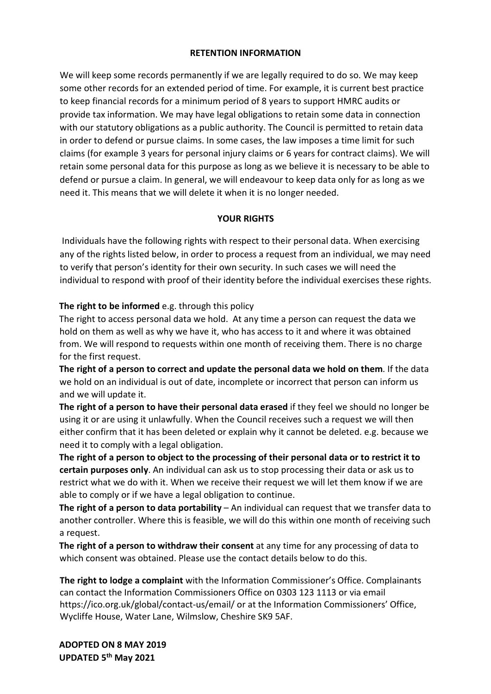#### RETENTION INFORMATION

We will keep some records permanently if we are legally required to do so. We may keep some other records for an extended period of time. For example, it is current best practice to keep financial records for a minimum period of 8 years to support HMRC audits or provide tax information. We may have legal obligations to retain some data in connection with our statutory obligations as a public authority. The Council is permitted to retain data in order to defend or pursue claims. In some cases, the law imposes a time limit for such claims (for example 3 years for personal injury claims or 6 years for contract claims). We will retain some personal data for this purpose as long as we believe it is necessary to be able to defend or pursue a claim. In general, we will endeavour to keep data only for as long as we need it. This means that we will delete it when it is no longer needed.

#### YOUR RIGHTS

 Individuals have the following rights with respect to their personal data. When exercising any of the rights listed below, in order to process a request from an individual, we may need to verify that person's identity for their own security. In such cases we will need the individual to respond with proof of their identity before the individual exercises these rights.

## The right to be informed e.g. through this policy

The right to access personal data we hold. At any time a person can request the data we hold on them as well as why we have it, who has access to it and where it was obtained from. We will respond to requests within one month of receiving them. There is no charge for the first request.

The right of a person to correct and update the personal data we hold on them. If the data we hold on an individual is out of date, incomplete or incorrect that person can inform us and we will update it.

The right of a person to have their personal data erased if they feel we should no longer be using it or are using it unlawfully. When the Council receives such a request we will then either confirm that it has been deleted or explain why it cannot be deleted. e.g. because we need it to comply with a legal obligation.

The right of a person to object to the processing of their personal data or to restrict it to certain purposes only. An individual can ask us to stop processing their data or ask us to restrict what we do with it. When we receive their request we will let them know if we are able to comply or if we have a legal obligation to continue.

The right of a person to data portability – An individual can request that we transfer data to another controller. Where this is feasible, we will do this within one month of receiving such a request.

The right of a person to withdraw their consent at any time for any processing of data to which consent was obtained. Please use the contact details below to do this.

The right to lodge a complaint with the Information Commissioner's Office. Complainants can contact the Information Commissioners Office on 0303 123 1113 or via email https://ico.org.uk/global/contact-us/email/ or at the Information Commissioners' Office, Wycliffe House, Water Lane, Wilmslow, Cheshire SK9 5AF.

ADOPTED ON 8 MAY 2019 UPDATED 5th May 2021